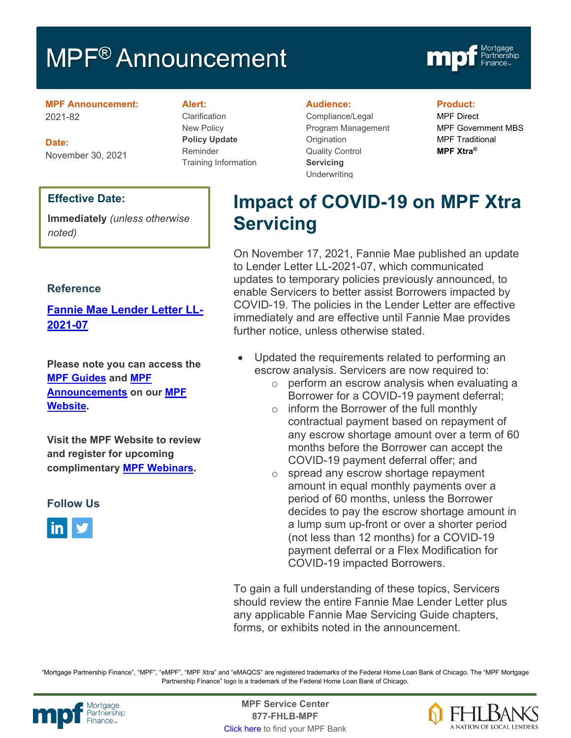# MPF<sup>®</sup> Announcement



**MPF Announcement:** 2021-82

**Date:** November 30, 2021

### **Effective Date:**

**Immediately** *(unless otherwise noted)*

### **Reference**

**[Fannie Mae Lender Letter LL-](https://singlefamily.fanniemae.com/media/25121/display)[2021-07](https://singlefamily.fanniemae.com/media/25121/display)**

**Please note you can access the [MPF Guides](https://fhlbmpf.com/mpf-guides/guides) and [MPF](https://fhlbmpf.com/mpf-guides/announcements)  [Announcements](https://fhlbmpf.com/mpf-guides/announcements) on our [MPF](https://fhlbmpf.com/)  [Website.](https://fhlbmpf.com/)** 

**Visit the MPF Website to review and register for upcoming complimentary [MPF Webinars.](https://www.fhlbmpf.com/education/upcoming-webinars)**

### **Follow Us**



#### **Alert:**

Clarification New Policy **Policy Update** Reminder Training Information

#### **Audience:**

Compliance/Legal Program Management **Origination** Quality Control **Servicing Underwriting** 

#### **Product:**

MPF Direct MPF Government MBS MPF Traditional **MPF Xtra®**

# **Impact of COVID-19 on MPF Xtra Servicing**

On November 17, 2021, Fannie Mae published an update to Lender Letter LL-2021-07, which communicated updates to temporary policies previously announced, to enable Servicers to better assist Borrowers impacted by COVID-19. The policies in the Lender Letter are effective immediately and are effective until Fannie Mae provides further notice, unless otherwise stated.

- Updated the requirements related to performing an escrow analysis. Servicers are now required to:
	- o perform an escrow analysis when evaluating a Borrower for a COVID-19 payment deferral;
	- o inform the Borrower of the full monthly contractual payment based on repayment of any escrow shortage amount over a term of 60 months before the Borrower can accept the COVID-19 payment deferral offer; and
	- o spread any escrow shortage repayment amount in equal monthly payments over a period of 60 months, unless the Borrower decides to pay the escrow shortage amount in a lump sum up-front or over a shorter period (not less than 12 months) for a COVID-19 payment deferral or a Flex Modification for COVID-19 impacted Borrowers.

To gain a full understanding of these topics, Servicers should review the entire Fannie Mae Lender Letter plus any applicable Fannie Mae Servicing Guide chapters, forms, or exhibits noted in the announcement.

"Mortgage Partnership Finance", "MPF", "eMPF", "MPF Xtra" and "eMAQCS" are registered trademarks of the Federal Home Loan Bank of Chicago. The "MPF Mortgage Partnership Finance" logo is a trademark of the Federal Home Loan Bank of Chicago.



Mortgage **Center Service Center**<br>Partnership **Canadian Center Service Center**<br> **Partnership CALL SANGE CANADIAN CENTER SERVICE PROPERTY 877-FHLB-MPF** [Click here](https://www.fhlbmpf.com/fhlbanks/fhlbanks) to find your MPF Bank

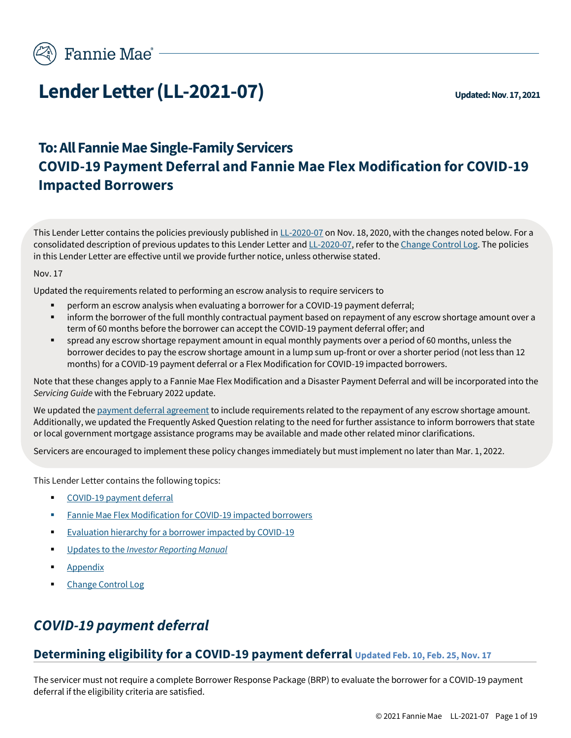

# **Lender Letter (LL-2021-07)**  $\nu_{\text{pdatad: Nov. 17, 2021}}$

# **To: All Fannie Mae Single-Family Servicers COVID-19 Payment Deferral and Fannie Mae Flex Modification for COVID-19 Impacted Borrowers**

This Lender Letter contains the policies previously published i[n LL-2020-07](https://singlefamily.fanniemae.com/media/document/pdf/lender-letter-ll-2020-07-covid-19-payment-deferral) on Nov. 18, 2020, with the changes noted below. For a consolidated description of previous updates to this Lender Letter an[d LL-2020-07,](https://singlefamily.fanniemae.com/media/document/pdf/lender-letter-ll-2020-07-covid-19-payment-deferral) refer to the [Change Control Log.](#page-18-0) The policies in this Lender Letter are effective until we provide further notice, unless otherwise stated.

#### Nov. 17

Updated the requirements related to performing an escrow analysis to require servicers to

- perform an escrow analysis when evaluating a borrower for a COVID-19 payment deferral;
- inform the borrower of the full monthly contractual payment based on repayment of any escrow shortage amount over a term of 60 months before the borrower can accept the COVID-19 payment deferral offer; and
- spread any escrow shortage repayment amount in equal monthly payments over a period of 60 months, unless the borrower decides to pay the escrow shortage amount in a lump sum up-front or over a shorter period (not less than 12 months) for a COVID-19 payment deferral or a Flex Modification for COVID-19 impacted borrowers.

Note that these changes apply to a Fannie Mae Flex Modification and a Disaster Payment Deferral and will be incorporated into the *Servicing Guide* with the February 2022 update.

We updated th[e payment deferral agreement](https://singlefamily.fanniemae.com/media/document/docx/payment-deferral-agreement) to include requirements related to the repayment of any escrow shortage amount. Additionally, we updated the Frequently Asked Question relating to the need for further assistance to inform borrowers that state or local government mortgage assistance programs may be available and made other related minor clarifications.

Servicers are encouraged to implement these policy changes immediately but must implement no later than Mar. 1, 2022.

This Lender Letter contains the following topics:

- [COVID-19 payment deferral](#page-1-0)
- Fannie Mae Flex Modification [for COVID-19 impacted borrowers](#page-8-0)
- <span id="page-1-1"></span>**[Evaluation hierarchy for a borrower impacted by COVID-19](#page-12-0)**
- Updates to the *[Investor Reporting Manual](#page-13-0)*
- [Appendix](#page-16-0)
- [Change Control Log](#page-18-0)

# <span id="page-1-0"></span>*COVID-19 payment deferral*

### **Determining eligibility for a COVID-19 payment deferral Updated Feb. 10, Feb. 25, Nov. 17**

The servicer must not require a complete Borrower Response Package (BRP) to evaluate the borrower for a COVID-19 payment deferral if the eligibility criteria are satisfied.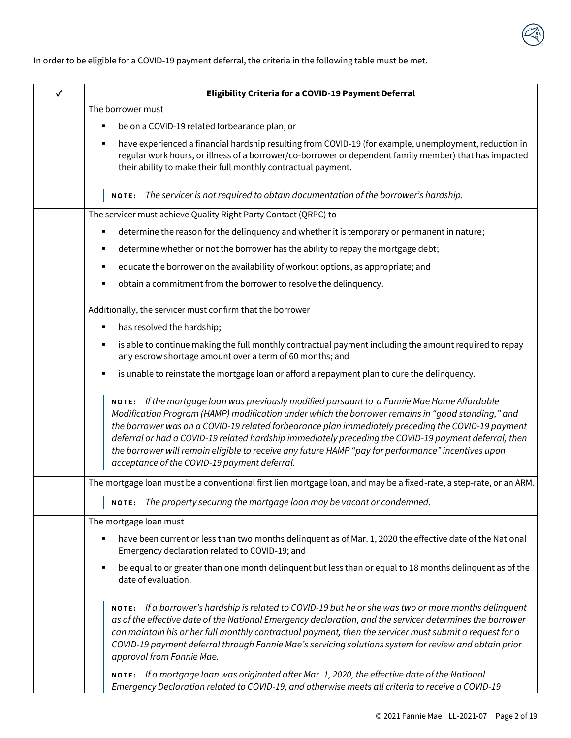

In order to be eligible for a COVID-19 payment deferral, the criteria in the following table must be met.

| $\checkmark$ | <b>Eligibility Criteria for a COVID-19 Payment Deferral</b>                                                                                                                                                                                                                                                                                                                                                                                                                                                                                                           |  |
|--------------|-----------------------------------------------------------------------------------------------------------------------------------------------------------------------------------------------------------------------------------------------------------------------------------------------------------------------------------------------------------------------------------------------------------------------------------------------------------------------------------------------------------------------------------------------------------------------|--|
|              | The borrower must                                                                                                                                                                                                                                                                                                                                                                                                                                                                                                                                                     |  |
|              | be on a COVID-19 related forbearance plan, or<br>п                                                                                                                                                                                                                                                                                                                                                                                                                                                                                                                    |  |
|              | have experienced a financial hardship resulting from COVID-19 (for example, unemployment, reduction in<br>в<br>regular work hours, or illness of a borrower/co-borrower or dependent family member) that has impacted<br>their ability to make their full monthly contractual payment.                                                                                                                                                                                                                                                                                |  |
|              | The servicer is not required to obtain documentation of the borrower's hardship.<br><b>NOTE:</b>                                                                                                                                                                                                                                                                                                                                                                                                                                                                      |  |
|              | The servicer must achieve Quality Right Party Contact (QRPC) to                                                                                                                                                                                                                                                                                                                                                                                                                                                                                                       |  |
|              | determine the reason for the delinquency and whether it is temporary or permanent in nature;<br>Е                                                                                                                                                                                                                                                                                                                                                                                                                                                                     |  |
|              | determine whether or not the borrower has the ability to repay the mortgage debt;<br>Е                                                                                                                                                                                                                                                                                                                                                                                                                                                                                |  |
|              | educate the borrower on the availability of workout options, as appropriate; and                                                                                                                                                                                                                                                                                                                                                                                                                                                                                      |  |
|              | obtain a commitment from the borrower to resolve the delinquency.                                                                                                                                                                                                                                                                                                                                                                                                                                                                                                     |  |
|              | Additionally, the servicer must confirm that the borrower                                                                                                                                                                                                                                                                                                                                                                                                                                                                                                             |  |
|              | has resolved the hardship;<br>Е                                                                                                                                                                                                                                                                                                                                                                                                                                                                                                                                       |  |
|              | is able to continue making the full monthly contractual payment including the amount required to repay<br>any escrow shortage amount over a term of 60 months; and                                                                                                                                                                                                                                                                                                                                                                                                    |  |
|              | is unable to reinstate the mortgage loan or afford a repayment plan to cure the delinquency.<br>Е                                                                                                                                                                                                                                                                                                                                                                                                                                                                     |  |
|              | NOTE: If the mortgage loan was previously modified pursuant to a Fannie Mae Home Affordable<br>Modification Program (HAMP) modification under which the borrower remains in "good standing," and<br>the borrower was on a COVID-19 related forbearance plan immediately preceding the COVID-19 payment<br>deferral or had a COVID-19 related hardship immediately preceding the COVID-19 payment deferral, then<br>the borrower will remain eligible to receive any future HAMP "pay for performance" incentives upon<br>acceptance of the COVID-19 payment deferral. |  |
|              | The mortgage loan must be a conventional first lien mortgage loan, and may be a fixed-rate, a step-rate, or an ARM.                                                                                                                                                                                                                                                                                                                                                                                                                                                   |  |
|              | NOTE: The property securing the mortgage loan may be vacant or condemned.                                                                                                                                                                                                                                                                                                                                                                                                                                                                                             |  |
|              | The mortgage loan must                                                                                                                                                                                                                                                                                                                                                                                                                                                                                                                                                |  |
|              | have been current or less than two months delinquent as of Mar. 1, 2020 the effective date of the National<br>п<br>Emergency declaration related to COVID-19; and                                                                                                                                                                                                                                                                                                                                                                                                     |  |
|              | be equal to or greater than one month delinquent but less than or equal to 18 months delinquent as of the<br>П<br>date of evaluation.                                                                                                                                                                                                                                                                                                                                                                                                                                 |  |
|              | NOTE: If a borrower's hardship is related to COVID-19 but he or she was two or more months delinquent<br>as of the effective date of the National Emergency declaration, and the servicer determines the borrower<br>can maintain his or her full monthly contractual payment, then the servicer must submit a request for a<br>COVID-19 payment deferral through Fannie Mae's servicing solutions system for review and obtain prior<br>approval from Fannie Mae.                                                                                                    |  |
|              | NOTE: If a mortgage loan was originated after Mar. 1, 2020, the effective date of the National<br>Emergency Declaration related to COVID-19, and otherwise meets all criteria to receive a COVID-19                                                                                                                                                                                                                                                                                                                                                                   |  |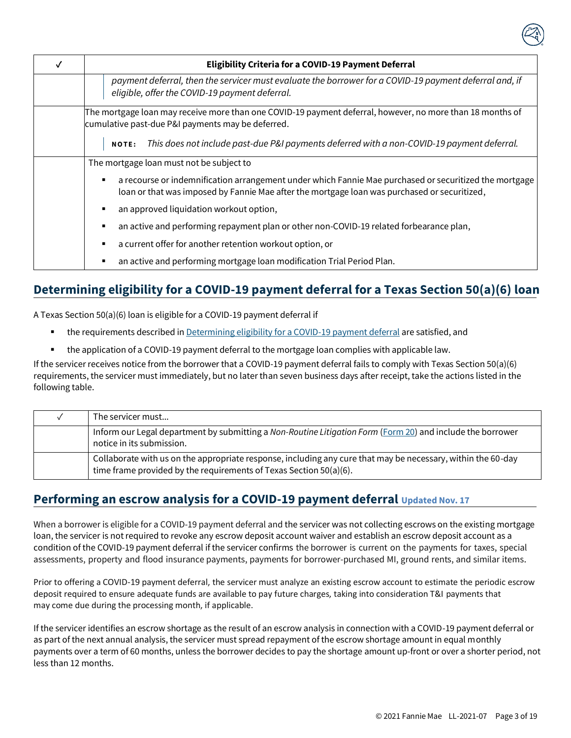|                                                                                                                                                                | <b>Eligibility Criteria for a COVID-19 Payment Deferral</b>                                                                                                                                                 |  |
|----------------------------------------------------------------------------------------------------------------------------------------------------------------|-------------------------------------------------------------------------------------------------------------------------------------------------------------------------------------------------------------|--|
|                                                                                                                                                                | payment deferral, then the servicer must evaluate the borrower for a COVID-19 payment deferral and, if<br>eligible, offer the COVID-19 payment deferral.                                                    |  |
| The mortgage loan may receive more than one COVID-19 payment deferral, however, no more than 18 months of<br>cumulative past-due P&I payments may be deferred. |                                                                                                                                                                                                             |  |
|                                                                                                                                                                | This does not include past-due P&I payments deferred with a non-COVID-19 payment deferral.<br><b>NOTE:</b>                                                                                                  |  |
| The mortgage loan must not be subject to                                                                                                                       |                                                                                                                                                                                                             |  |
|                                                                                                                                                                | a recourse or indemnification arrangement under which Fannie Mae purchased or securitized the mortgage<br>Е<br>loan or that was imposed by Fannie Mae after the mortgage loan was purchased or securitized, |  |
|                                                                                                                                                                | an approved liquidation workout option,<br>Е                                                                                                                                                                |  |
|                                                                                                                                                                | an active and performing repayment plan or other non-COVID-19 related forbearance plan,<br>п                                                                                                                |  |
|                                                                                                                                                                | a current offer for another retention workout option, or<br>$\blacksquare$                                                                                                                                  |  |
|                                                                                                                                                                | an active and performing mortgage loan modification Trial Period Plan.<br>п                                                                                                                                 |  |

# **Determining eligibility for a COVID-19 payment deferral for a Texas Section 50(a)(6) loan**

A Texas Section 50(a)(6) loan is eligible for a COVID-19 payment deferral if

- the requirements described i[n Determining eligibility for a COVID-19 payment deferral](#page-1-1) are satisfied, and
- the application of a COVID-19 payment deferral to the mortgage loan complies with applicable law.

If the servicer receives notice from the borrower that a COVID-19 payment deferral fails to comply with Texas Section 50(a)(6) requirements, the servicer must immediately, but no later than seven business days after receipt, take the actions listed in the following table.

| The servicer must                                                                                                                                                                  |
|------------------------------------------------------------------------------------------------------------------------------------------------------------------------------------|
| Inform our Legal department by submitting a Non-Routine Litigation Form (Form 20) and include the borrower<br>notice in its submission.                                            |
| Collaborate with us on the appropriate response, including any cure that may be necessary, within the 60-day<br>time frame provided by the requirements of Texas Section 50(a)(6). |

### **Performing an escrow analysis for a COVID-19 payment deferral Updated Nov. 17**

When a borrower is eligible for a COVID-19 payment deferral and the servicer was not collecting escrows on the existing mortgage loan, the servicer is not required to revoke any escrow deposit account waiver and establish an escrow deposit account as a condition of the COVID-19 payment deferral if the servicer confirms the borrower is current on the payments for taxes, special assessments, property and flood insurance payments, payments for borrower-purchased MI, ground rents, and similar items.

Prior to offering a COVID-19 payment deferral, the servicer must analyze an existing escrow account to estimate the periodic escrow deposit required to ensure adequate funds are available to pay future charges, taking into consideration T&I payments that may come due during the processing month, if applicable.

If the servicer identifies an escrow shortage as the result of an escrow analysis in connection with a COVID-19 payment deferral or as part of the next annual analysis, the servicer must spread repayment of the escrow shortage amount in equal monthly payments over a term of 60 months, unless the borrower decides to pay the shortage amount up-front or over a shorter period, not less than 12 months.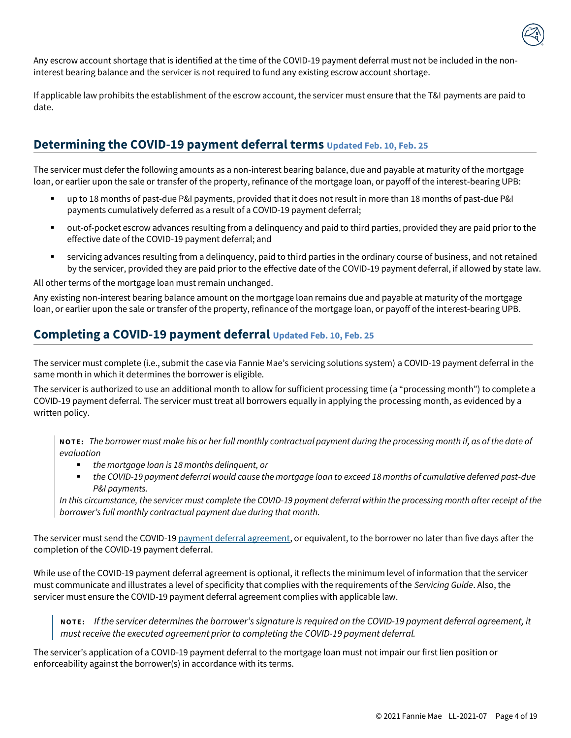

Any escrow account shortage that is identified at the time of the COVID-19 payment deferral must not be included in the noninterest bearing balance and the servicer is not required to fund any existing escrow account shortage.

If applicable law prohibits the establishment of the escrow account, the servicer must ensure that the T&I payments are paid to date.

### **Determining the COVID-19 payment deferral terms Updated Feb. 10, Feb. 25**

The servicer must defer the following amounts as a non-interest bearing balance, due and payable at maturity of the mortgage loan, or earlier upon the sale or transfer of the property, refinance of the mortgage loan, or payoff of the interest-bearing UPB:

- up to 18 months of past-due P&I payments, provided that it does not result in more than 18 months of past-due P&I payments cumulatively deferred as a result of a COVID-19 payment deferral;
- out-of-pocket escrow advances resulting from a delinquency and paid to third parties, provided they are paid prior to the effective date of the COVID-19 payment deferral; and
- servicing advances resulting from a delinquency, paid to third parties in the ordinary course of business, and not retained by the servicer, provided they are paid prior to the effective date of the COVID-19 payment deferral, if allowed by state law.

All other terms of the mortgage loan must remain unchanged.

Any existing non-interest bearing balance amount on the mortgage loan remains due and payable at maturity of the mortgage loan, or earlier upon the sale or transfer of the property, refinance of the mortgage loan, or payoff of the interest-bearing UPB.

### **Completing a COVID-19 payment deferral Updated Feb. 10, Feb. 25**

The servicer must complete (i.e., submit the case via Fannie Mae's servicing solutions system) a COVID-19 payment deferral in the same month in which it determines the borrower is eligible.

The servicer is authorized to use an additional month to allow for sufficient processing time (a "processing month") to complete a COVID-19 payment deferral. The servicer must treat all borrowers equally in applying the processing month, as evidenced by a written policy.

**N O T E:** *The borrower must make his or her full monthly contractual payment during the processing month if, as of the date of evaluation*

- the mortgage loan is 18 months delinguent, or
- *the COVID-19 payment deferral would cause the mortgage loan to exceed 18 months of cumulative deferred past-due P&I payments.*

*In this circumstance, the servicer must complete the COVID-19 payment deferral within the processing month after receipt of the borrower's full monthly contractual payment due during that month.*

The servicer must send the COVID-19 [payment deferral agreement,](https://singlefamily.fanniemae.com/media/document/docx/payment-deferral-agreement) or equivalent, to the borrower no later than five days after the completion of the COVID-19 payment deferral.

While use of the COVID-19 payment deferral agreement is optional, it reflects the minimum level of information that the servicer must communicate and illustrates a level of specificity that complies with the requirements of the *Servicing Guide*. Also, the servicer must ensure the COVID-19 payment deferral agreement complies with applicable law.

**N O T E :** *If the servicer determines the borrower's signature is required on the COVID-19 payment deferral agreement, it must receive the executed agreement prior to completing the COVID-19 payment deferral.* 

The servicer's application of a COVID-19 payment deferral to the mortgage loan must not impair our first lien position or enforceability against the borrower(s) in accordance with its terms.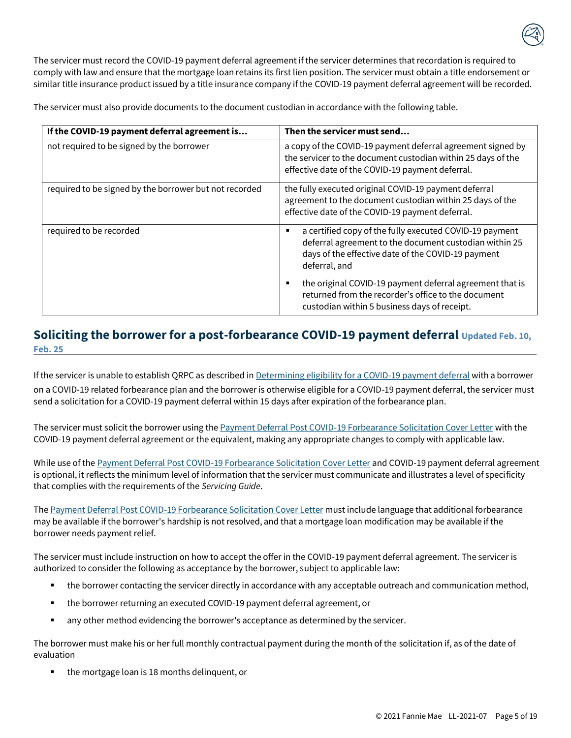The servicer must record the COVID-19 payment deferral agreement if the servicer determines that recordation is required to comply with law and ensure that the mortgage loan retains its first lien position. The servicer must obtain a title endorsement or similar title insurance product issued by a title insurance company if the COVID-19 payment deferral agreement will be recorded.

The servicer must also provide documents to the document custodian in accordance with the following table.

| If the COVID-19 payment deferral agreement is          | Then the servicer must send                                                                                                                                                                   |
|--------------------------------------------------------|-----------------------------------------------------------------------------------------------------------------------------------------------------------------------------------------------|
| not required to be signed by the borrower              | a copy of the COVID-19 payment deferral agreement signed by<br>the servicer to the document custodian within 25 days of the<br>effective date of the COVID-19 payment deferral.               |
| required to be signed by the borrower but not recorded | the fully executed original COVID-19 payment deferral<br>agreement to the document custodian within 25 days of the<br>effective date of the COVID-19 payment deferral.                        |
| required to be recorded                                | a certified copy of the fully executed COVID-19 payment<br>п<br>deferral agreement to the document custodian within 25<br>days of the effective date of the COVID-19 payment<br>deferral, and |
|                                                        | the original COVID-19 payment deferral agreement that is<br>٠<br>returned from the recorder's office to the document<br>custodian within 5 business days of receipt.                          |

### <span id="page-5-0"></span>**Soliciting the borrower for a post-forbearance COVID-19 payment deferral Updated Feb. 10, Feb. 25**

If the servicer is unable to establish QRPC as described in [Determining eligibility for a COVID-19 payment deferral](#page-1-1) with a borrower on a COVID-19 related forbearance plan and the borrower is otherwise eligible for a COVID-19 payment deferral, the servicer must send a solicitation for a COVID-19 payment deferral within 15 days after expiration of the forbearance plan.

The servicer must solicit the borrower using th[e Payment Deferral Post COVID-19 Forbearance Solicitation Cover Letter](#page-15-0) with the COVID-19 payment deferral agreement or the equivalent, making any appropriate changes to comply with applicable law.

While use of th[e Payment Deferral Post COVID-19 Forbearance Solicitation Cover Letter](#page-15-0) and COVID-19 payment deferral agreement is optional, it reflects the minimum level of information that the servicer must communicate and illustrates a level of specificity that complies with the requirements of the *Servicing Guide*.

Th[e Payment Deferral Post COVID-19 Forbearance Solicitation Cover Letter](#page-15-0) must include language that additional forbearance may be available if the borrower's hardship is not resolved, and that a mortgage loan modification may be available if the borrower needs payment relief.

The servicer must include instruction on how to accept the offer in the COVID-19 payment deferral agreement. The servicer is authorized to consider the following as acceptance by the borrower, subject to applicable law:

- the borrower contacting the servicer directly in accordance with any acceptable outreach and communication method,
- the borrower returning an executed COVID-19 payment deferral agreement, or
- any other method evidencing the borrower's acceptance as determined by the servicer.

The borrower must make his or her full monthly contractual payment during the month of the solicitation if, as of the date of evaluation

the mortgage loan is 18 months delinquent, or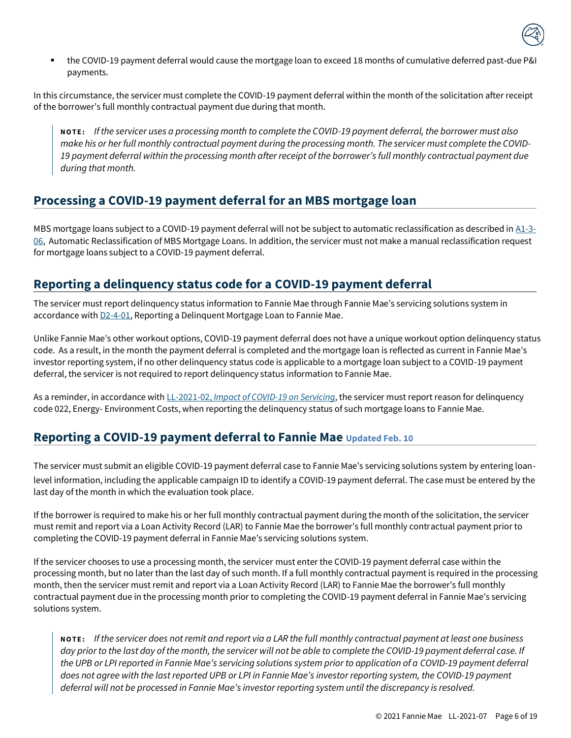

▪ the COVID-19 payment deferral would cause the mortgage loan to exceed 18 months of cumulative deferred past-due P&I payments.

In this circumstance, the servicer must complete the COVID-19 payment deferral within the month of the solicitation after receipt of the borrower's full monthly contractual payment due during that month.

**N O T E :** *If the servicer uses a processing month to complete the COVID-19 payment deferral, the borrower must also make his or her full monthly contractual payment during the processing month. The servicer must complete the COVID-19 payment deferral within the processing month after receipt of the borrower's full monthly contractual payment due during that month.*

### **Processing a COVID-19 payment deferral for an MBS mortgage loan**

MBS mortgage loans subject to a COVID-19 payment deferral will not be subject to automatic reclassification as described in  $\Delta$ 1-3-[06,](https://servicing-guide.fanniemae.com/THE-SERVICING-GUIDE/Part-A-Doing-Business-with-Fannie-Mae/Subpart-A1-Contractual-Obligations/Chapter-A1-3-Repurchases-Indemnifications-and-Make-Whole/A1-3-06-Automatic-Reclassification-of-MBS-Mortgage-Loans/1581707401/A1-3-06-Automatic-Reclassification-of-MBS-Mortgage-Loans-04-20-2020.htm?SearchType=sf) Automatic Reclassification of MBS Mortgage Loans. In addition, the servicer must not make a manual reclassification request for mortgage loans subject to a COVID-19 payment deferral.

### **Reporting a delinquency status code for a COVID-19 payment deferral**

The servicer must report delinquency status information to Fannie Mae through Fannie Mae's servicing solutions system in accordance wit[h D2-4-01,](https://servicing-guide.fanniemae.com/THE-SERVICING-GUIDE/Part-D-Providing-Solutions-to-a-Borrower/Subpart-D2-Assisting-a-Borrower-Who-is-Facing-Default-or/Chapter-D2-4-Reporting-Delinquent-Mortgage-Loans-and/D2-4-01-Reporting-a-Delinquent-Mortgage-Loan-to-Fannie-Mae/1042591241/D2-4-01-Reporting-a-Delinquent-Mortgage-Loan-to-Fannie-Mae-11-12-2014.htm?searchtype=sf) Reporting a Delinquent Mortgage Loan to Fannie Mae.

Unlike Fannie Mae's other workout options, COVID-19 payment deferral does not have a unique workout option delinquency status code. As a result, in the month the payment deferral is completed and the mortgage loan is reflected as current in Fannie Mae's investor reporting system, if no other delinquency status code is applicable to a mortgage loan subject to a COVID-19 payment deferral, the servicer is not required to report delinquency status information to Fannie Mae.

As a reminder, in accordance with LL-2021-02, *[Impact of COVID-19 on Servicing](https://singlefamily.fanniemae.com/media/document/pdf/lender-letter-ll-2021-02-impact-covid-19-servicing)*, the servicer must report reason for delinquency code 022, Energy- Environment Costs, when reporting the delinquency status of such mortgage loans to Fannie Mae.

### **Reporting a COVID-19 payment deferral to Fannie Mae Updated Feb. 10**

The servicer must submit an eligible COVID-19 payment deferral case to Fannie Mae's servicing solutions system by entering loanlevel information, including the applicable campaign ID to identify a COVID-19 payment deferral. The case must be entered by the last day of the month in which the evaluation took place.

If the borrower is required to make his or her full monthly contractual payment during the month of the solicitation, the servicer must remit and report via a Loan Activity Record (LAR) to Fannie Mae the borrower's full monthly contractual payment prior to completing the COVID-19 payment deferral in Fannie Mae's servicing solutions system.

If the servicer chooses to use a processing month, the servicer must enter the COVID-19 payment deferral case within the processing month, but no later than the last day of such month. If a full monthly contractual payment is required in the processing month, then the servicer must remit and report via a Loan Activity Record (LAR) to Fannie Mae the borrower's full monthly contractual payment due in the processing month prior to completing the COVID-19 payment deferral in Fannie Mae's servicing solutions system.

**N O T E :** *If the servicer does not remit and report via a LAR the full monthly contractual payment at least one business day prior to the last day of the month, the servicer will not be able to complete the COVID-19 payment deferral case. If the UPB or LPI reported in Fannie Mae's servicing solutions system prior to application of a COVID-19 payment deferral does not agree with the last reported UPB or LPI in Fannie Mae's investor reporting system, the COVID-19 payment deferral will not be processed in Fannie Mae's investor reporting system until the discrepancy is resolved.*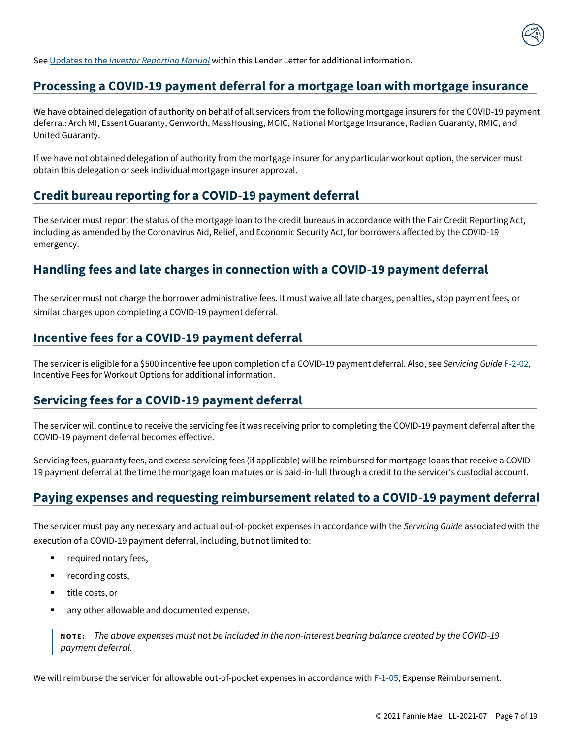

See Updates to the *[Investor Reporting Manual](#page-13-0)* within this Lender Letter for additional information.

### **Processing a COVID-19 payment deferral for a mortgage loan with mortgage insurance**

We have obtained delegation of authority on behalf of all servicers from the following mortgage insurers for the COVID-19 payment deferral: Arch MI, Essent Guaranty, Genworth, MassHousing, MGIC, National Mortgage Insurance, Radian Guaranty, RMIC, and United Guaranty.

If we have not obtained delegation of authority from the mortgage insurer for any particular workout option, the servicer must obtain this delegation or seek individual mortgage insurer approval.

### **Credit bureau reporting for a COVID-19 payment deferral**

The servicer must report the status of the mortgage loan to the credit bureaus in accordance with the Fair Credit Reporting Act, including as amended by the Coronavirus Aid, Relief, and Economic Security Act, for borrowers affected by the COVID-19 emergency.

### **Handling fees and late charges in connection with a COVID-19 payment deferral**

The servicer must not charge the borrower administrative fees. It must waive all late charges, penalties, stop payment fees, or similar charges upon completing a COVID-19 payment deferral.

### **Incentive fees for a COVID-19 payment deferral**

The servicer is eligible for a \$500 incentive fee upon completion of a COVID-19 payment deferral. Also, see *Servicing Guide* [F-2-02,](https://servicing-guide.fanniemae.com/THE-SERVICING-GUIDE/Part-F-Servicing-Guide-Procedures-Exhibits-Quick-Referen/Chapter-F-2-Exhibits/F-2-02-Incentive-Fees-for-Workout-Options/1045672441/F-2-02-Incentive-Fees-for-Workout-Options-12-09-2020.htm?searchtype=sf) Incentive Fees for Workout Options for additional information.

### **Servicing fees for a COVID-19 payment deferral**

The servicer will continue to receive the servicing fee it was receiving prior to completing the COVID-19 payment deferral after the COVID-19 payment deferral becomes effective.

Servicing fees, guaranty fees, and excess servicing fees (if applicable) will be reimbursed for mortgage loans that receive a COVID-19 payment deferral at the time the mortgage loan matures or is paid-in-full through a credit to the servicer's custodial account.

### **Paying expenses and requesting reimbursement related to a COVID-19 payment deferral**

The servicer must pay any necessary and actual out-of-pocket expenses in accordance with the *Servicing Guide* associated with the execution of a COVID-19 payment deferral, including, but not limited to:

- required notary fees,
- recording costs,
- title costs, or
- any other allowable and documented expense.

**N O T E :** *The above expenses must not be included in the non-interest bearing balance created by the COVID-19 payment deferral.* 

We will reimburse the servicer for allowable out-of-pocket expenses in accordance with  $F-1-0.5$ , Expense Reimbursement.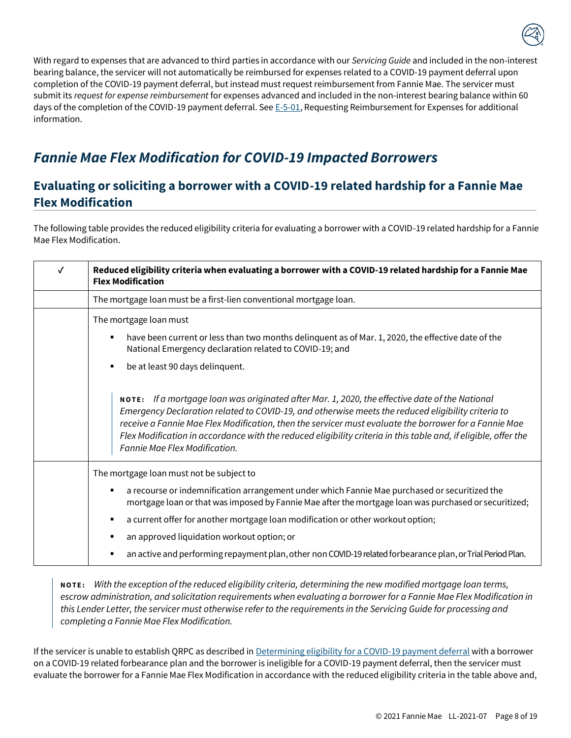

With regard to expenses that are advanced to third parties in accordance with our *Servicing Guide* and included in the non-interest bearing balance, the servicer will not automatically be reimbursed for expenses related to a COVID-19 payment deferral upon completion of the COVID-19 payment deferral, but instead must request reimbursement from Fannie Mae. The servicer must submit its *request for expense reimbursement* for expenses advanced and included in the non-interest bearing balance within 60 days of the completion of the COVID-19 payment deferral. Se[e E-5-01,](https://servicing-guide.fanniemae.com/THE-SERVICING-GUIDE/Part-E-Default-Related-Legal-Services-Bankruptcy-Foreclos/Chapter-E-5-Requesting-Reimbursement-for-Expenses/E-5-01-Requesting-Reimbursement-for-Expenses/1042826831/E-5-01-Requesting-Reimbursement-for-Expenses-11-09-2016.htm?SearchType=sf) Requesting Reimbursement for Expenses for additional information.

# <span id="page-8-0"></span>*Fannie Mae Flex Modification for COVID-19 Impacted Borrowers*

### <span id="page-8-1"></span>**Evaluating or soliciting a borrower with a COVID-19 related hardship for a Fannie Mae Flex Modification**

The following table provides the reduced eligibility criteria for evaluating a borrower with a COVID-19 related hardship for a Fannie Mae Flex Modification.

| √ | Reduced eligibility criteria when evaluating a borrower with a COVID-19 related hardship for a Fannie Mae<br><b>Flex Modification</b>                                                                                                                                                                                                                                                                                                                             |  |
|---|-------------------------------------------------------------------------------------------------------------------------------------------------------------------------------------------------------------------------------------------------------------------------------------------------------------------------------------------------------------------------------------------------------------------------------------------------------------------|--|
|   | The mortgage loan must be a first-lien conventional mortgage loan.                                                                                                                                                                                                                                                                                                                                                                                                |  |
|   | The mortgage loan must<br>have been current or less than two months delinguent as of Mar. 1, 2020, the effective date of the<br>٠                                                                                                                                                                                                                                                                                                                                 |  |
|   | National Emergency declaration related to COVID-19; and                                                                                                                                                                                                                                                                                                                                                                                                           |  |
|   | be at least 90 days delinquent.<br>٠                                                                                                                                                                                                                                                                                                                                                                                                                              |  |
|   | NOTE: If a mortgage loan was originated after Mar. 1, 2020, the effective date of the National<br>Emergency Declaration related to COVID-19, and otherwise meets the reduced eligibility criteria to<br>receive a Fannie Mae Flex Modification, then the servicer must evaluate the borrower for a Fannie Mae<br>Flex Modification in accordance with the reduced eligibility criteria in this table and, if eligible, offer the<br>Fannie Mae Flex Modification. |  |
|   | The mortgage loan must not be subject to                                                                                                                                                                                                                                                                                                                                                                                                                          |  |
|   | a recourse or indemnification arrangement under which Fannie Mae purchased or securitized the<br>٠<br>mortgage loan or that was imposed by Fannie Mae after the mortgage loan was purchased or securitized;                                                                                                                                                                                                                                                       |  |
|   | a current offer for another mortgage loan modification or other workout option;<br>٠                                                                                                                                                                                                                                                                                                                                                                              |  |
|   | an approved liquidation workout option; or<br>٠                                                                                                                                                                                                                                                                                                                                                                                                                   |  |
|   | an active and performing repayment plan, other non COVID-19 related forbearance plan, or Trial Period Plan.<br>п                                                                                                                                                                                                                                                                                                                                                  |  |

**N O T E :** *With the exception of the reduced eligibility criteria, determining the new modified mortgage loan terms, escrow administration, and solicitation requirements when evaluating a borrower for a Fannie Mae Flex Modification in this Lender Letter, the servicer must otherwise refer to the requirements in the Servicing Guide for processing and completing a Fannie Mae Flex Modification.* 

If the servicer is unable to establish QRPC as described i[n Determining eligibility for a COVID-19 payment deferral](#page-1-1) with a borrower on a COVID-19 related forbearance plan and the borrower is ineligible for a COVID-19 payment deferral, then the servicer must evaluate the borrower for a Fannie Mae Flex Modification in accordance with the reduced eligibility criteria in the table above and,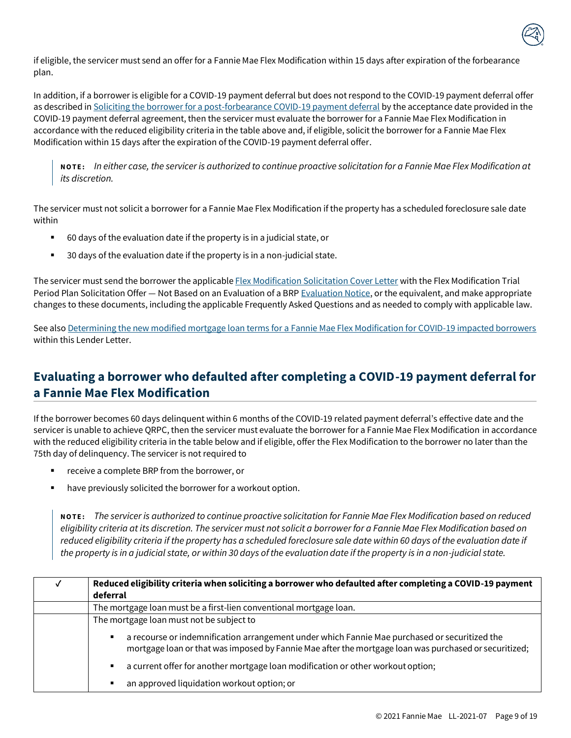

if eligible, the servicer must send an offer for a Fannie Mae Flex Modification within 15 days after expiration of the forbearance plan.

In addition, if a borrower is eligible for a COVID-19 payment deferral but does notrespond to the COVID-19 payment deferral offer as described i[n Soliciting the borrower for a post-forbearance COVID-19 payment deferral](#page-5-0) by the acceptance date provided in the COVID-19 payment deferral agreement, then the servicer must evaluate the borrower for a Fannie Mae Flex Modification in accordance with the reduced eligibility criteria in the table above and, if eligible, solicit the borrower for a Fannie Mae Flex Modification within 15 days after the expiration of the COVID-19 payment deferral offer.

**N O T E :** *In either case, the servicer is authorized to continue proactive solicitation for a Fannie Mae Flex Modification at its discretion.*

The servicer must not solicit a borrower for a Fannie Mae Flex Modification if the property has a scheduled foreclosure sale date within

- 60 days of the evaluation date if the property is in a judicial state, or
- 30 days of the evaluation date if the property is in a non-judicial state.

The servicer must send the borrower the applicabl[e Flex Modification Solicitation Cover Letter](https://servicing-guide.fanniemae.com/THE-SERVICING-GUIDE/SVC-Guide-Exhibits/1208647921/FLEX-MODIFICATION-SOLICITATION-COVER-LETTERS-07-15-2020.htm#FLEX_MODIFICATION_SOLICITATION_COVER_LETTER) with the Flex Modification Trial Period Plan Solicitation Offer — Not Based on an Evaluation of a BR[P Evaluation Notice,](https://singlefamily.fanniemae.com/media/document/doc/evaluation-notices) or the equivalent, and make appropriate changes to these documents, including the applicable Frequently Asked Questions and as needed to comply with applicable law.

See als[o Determining the new modified mortgage loan terms for a](#page-10-0) Fannie Mae Flex Modification for COVID-19 impacted borrowers within this Lender Letter.

# <span id="page-9-0"></span>**Evaluating a borrower who defaulted after completing a COVID-19 payment deferral for a Fannie Mae Flex Modification**

If the borrower becomes 60 days delinquent within 6 months of the COVID-19 related payment deferral's effective date and the servicer is unable to achieve QRPC, then the servicer must evaluate the borrower for a Fannie Mae Flex Modification in accordance with the reduced eligibility criteria in the table below and if eligible, offer the Flex Modification to the borrower no later than the 75th day of delinquency. The servicer is not required to

- receive a complete BRP from the borrower, or
- have previously solicited the borrower for a workout option.

**N O T E :** *The servicer is authorized to continue proactive solicitation for Fannie Mae Flex Modification based on reduced eligibility criteria at its discretion. The servicer must not solicit a borrower for a Fannie Mae Flex Modification based on*  reduced eligibility criteria if the property has a scheduled foreclosure sale date within 60 days of the evaluation date if *the property is in a judicial state, or within 30 days of the evaluation date if the property is in a non-judicial state.* 

| Reduced eligibility criteria when soliciting a borrower who defaulted after completing a COVID-19 payment<br>deferral                                                                                       |  |
|-------------------------------------------------------------------------------------------------------------------------------------------------------------------------------------------------------------|--|
| The mortgage loan must be a first-lien conventional mortgage loan.                                                                                                                                          |  |
| The mortgage loan must not be subject to                                                                                                                                                                    |  |
| a recourse or indemnification arrangement under which Fannie Mae purchased or securitized the<br>п<br>mortgage loan or that was imposed by Fannie Mae after the mortgage loan was purchased or securitized; |  |
| a current offer for another mortgage loan modification or other workout option;<br>٠                                                                                                                        |  |
| an approved liquidation workout option; or<br>п                                                                                                                                                             |  |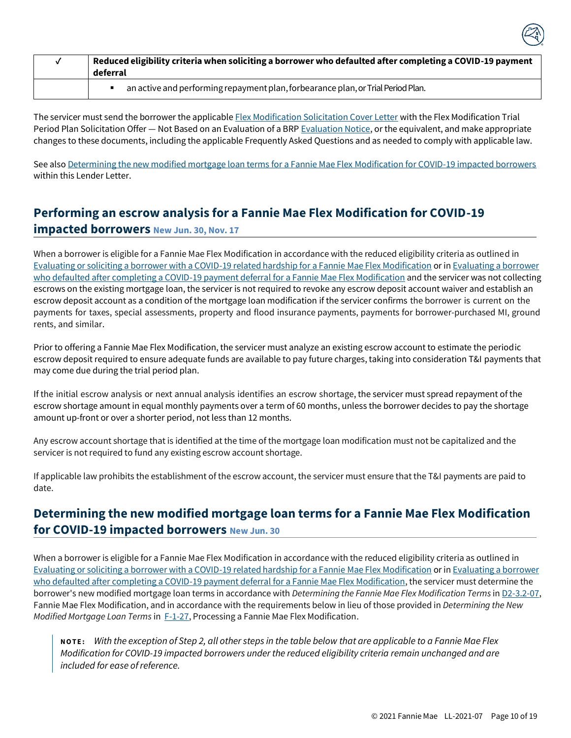| Reduced eligibility criteria when soliciting a borrower who defaulted after completing a COVID-19 payment<br>deferral |  |
|-----------------------------------------------------------------------------------------------------------------------|--|
| an active and performing repayment plan, forbearance plan, or Trial Period Plan.                                      |  |

The servicer must send the borrower the applicabl[e Flex Modification Solicitation Cover Letter](https://servicing-guide.fanniemae.com/THE-SERVICING-GUIDE/SVC-Guide-Exhibits/1208647921/FLEX-MODIFICATION-SOLICITATION-COVER-LETTERS-07-15-2020.htm#FLEX_MODIFICATION_SOLICITATION_COVER_LETTER) with the Flex Modification Trial Period Plan Solicitation Offer — Not Based on an Evaluation of a BR[P Evaluation Notice,](https://singlefamily.fanniemae.com/media/document/doc/evaluation-notices) or the equivalent, and make appropriate changes to these documents, including the applicable Frequently Asked Questions and as needed to comply with applicable law.

See als[o Determining the new modified mortgage loan terms for a Fannie Mae Flex Modification for COVID-19 impacted borrowers](#page-10-0) within this Lender Letter.

# **Performing an escrow analysis for a Fannie Mae Flex Modification for COVID-19**

#### **impacted borrowers New Jun. 30, Nov. 17**

When a borrower is eligible for a Fannie Mae Flex Modification in accordance with the reduced eligibility criteria as outlined in [Evaluating or soliciting a borrower with a COVID-19 related hardship for a Fannie](#page-8-1) Mae Flex Modification or in [Evaluating a borrower](#page-9-0)  [who defaulted after completing a COVID-19 payment deferral for](#page-9-0) a Fannie Mae Flex Modification and the servicer was not collecting escrows on the existing mortgage loan, the servicer is not required to revoke any escrow deposit account waiver and establish an escrow deposit account as a condition of the mortgage loan modification if the servicer confirms the borrower is current on the payments for taxes, special assessments, property and flood insurance payments, payments for borrower-purchased MI, ground rents, and similar.

Prior to offering a Fannie Mae Flex Modification, the servicer must analyze an existing escrow account to estimate the periodic escrow deposit required to ensure adequate funds are available to pay future charges, taking into consideration T&I payments that may come due during the trial period plan.

If the initial escrow analysis or next annual analysis identifies an escrow shortage, the servicer must spread repayment of the escrow shortage amount in equal monthly payments over a term of 60 months, unless the borrower decides to pay the shortage amount up-front or over a shorter period, not less than 12 months.

Any escrow account shortage that is identified at the time of the mortgage loan modification must not be capitalized and the servicer is not required to fund any existing escrow account shortage.

If applicable law prohibits the establishment of the escrow account, the servicer must ensure that the T&I payments are paid to date.

# <span id="page-10-0"></span>**Determining the new modified mortgage loan terms for a Fannie Mae Flex Modification for COVID-19 impacted borrowers New Jun. 30**

When a borrower is eligible for a Fannie Mae Flex Modification in accordance with the reduced eligibility criteria as outlined in [Evaluating or soliciting a borrower with a COVID-19 related hardship for a Fannie](#page-8-1) Mae Flex Modification or in [Evaluating a borrower](#page-9-0)  [who defaulted after completing a COVID-19 payment deferral for](#page-9-0) a Fannie Mae Flex Modification, the servicer must determine the borrower's new modified mortgage loan terms in accordance with *Determining the Fannie Mae Flex Modification Terms* in [D2-3.2-07,](https://servicing-guide.fanniemae.com/THE-SERVICING-GUIDE/Part-D-Providing-Solutions-to-a-Borrower/Subpart-D2-Assisting-a-Borrower-Who-is-Facing-Default-or/Chapter-D2-3-Fannie-Mae-s-Home-Retention-and-Liquidation/Section-D2-3-2-Home-Retention-Workout-Options/D2-3-2-07-Fannie-Mae-Flex-Modification/1042575201/D2-3-2-07-Fannie-Mae-Flex-Modification-09-09-2020.htm#Determining.20the.20Fannie.20Mae.20Flex.20Modification.20Terms) Fannie Mae Flex Modification, and in accordance with the requirements below in lieu of those provided in *Determining the New Modified Mortgage Loan Terms* in [F-1-27,](https://servicing-guide.fanniemae.com/THE-SERVICING-GUIDE/Part-F-Servicing-Guide-Procedures-Exhibits-Quick-Referen/Chapter-F-1-Servicing-Guide-Procedures/F-1-27-Processing-a-Fannie-Mae-Flex-Modification/1045445021/F-1-27-Processing-a-Fannie-Mae-Flex-Modification-06-09-2021.htm#Determining.20New.20Modified.20Mortgage.20Loan.20Terms) Processing a Fannie Mae Flex Modification.

**N O T E :** *With the exception of Step 2, all other steps in the table below that are applicable to a Fannie Mae Flex Modification for COVID-19 impacted borrowers under the reduced eligibility criteria remain unchanged and are included for ease of reference.*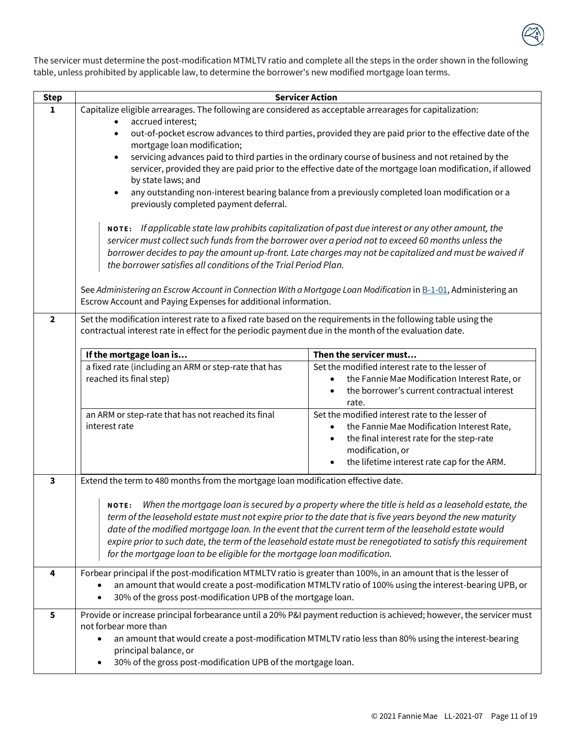

The servicer must determine the post-modification MTMLTV ratio and complete all the steps in the order shown in the following table, unless prohibited by applicable law, to determine the borrower's new modified mortgage loan terms.

| <b>Step</b>             | <b>Servicer Action</b>                                                                                                                                                                                                                                                                                                                                                                                                                                                                                                    |                                                                                                                                                                                                               |  |
|-------------------------|---------------------------------------------------------------------------------------------------------------------------------------------------------------------------------------------------------------------------------------------------------------------------------------------------------------------------------------------------------------------------------------------------------------------------------------------------------------------------------------------------------------------------|---------------------------------------------------------------------------------------------------------------------------------------------------------------------------------------------------------------|--|
| 1                       | Capitalize eligible arrearages. The following are considered as acceptable arrearages for capitalization:                                                                                                                                                                                                                                                                                                                                                                                                                 |                                                                                                                                                                                                               |  |
|                         | accrued interest;<br>out-of-pocket escrow advances to third parties, provided they are paid prior to the effective date of the<br>$\bullet$<br>mortgage loan modification;                                                                                                                                                                                                                                                                                                                                                |                                                                                                                                                                                                               |  |
|                         | servicing advances paid to third parties in the ordinary course of business and not retained by the<br>servicer, provided they are paid prior to the effective date of the mortgage loan modification, if allowed                                                                                                                                                                                                                                                                                                         |                                                                                                                                                                                                               |  |
|                         | by state laws; and<br>any outstanding non-interest bearing balance from a previously completed loan modification or a<br>previously completed payment deferral.                                                                                                                                                                                                                                                                                                                                                           |                                                                                                                                                                                                               |  |
|                         | NOTE: If applicable state law prohibits capitalization of past due interest or any other amount, the<br>servicer must collect such funds from the borrower over a period not to exceed 60 months unless the<br>borrower decides to pay the amount up-front. Late charges may not be capitalized and must be waived if<br>the borrower satisfies all conditions of the Trial Period Plan.                                                                                                                                  |                                                                                                                                                                                                               |  |
|                         | See Administering an Escrow Account in Connection With a Mortgage Loan Modification in B-1-01, Administering an<br>Escrow Account and Paying Expenses for additional information.                                                                                                                                                                                                                                                                                                                                         |                                                                                                                                                                                                               |  |
| $\overline{2}$          | Set the modification interest rate to a fixed rate based on the requirements in the following table using the<br>contractual interest rate in effect for the periodic payment due in the month of the evaluation date.                                                                                                                                                                                                                                                                                                    |                                                                                                                                                                                                               |  |
|                         | If the mortgage loan is                                                                                                                                                                                                                                                                                                                                                                                                                                                                                                   | Then the servicer must                                                                                                                                                                                        |  |
|                         | a fixed rate (including an ARM or step-rate that has<br>reached its final step)                                                                                                                                                                                                                                                                                                                                                                                                                                           | Set the modified interest rate to the lesser of<br>the Fannie Mae Modification Interest Rate, or<br>the borrower's current contractual interest<br>rate.                                                      |  |
|                         | an ARM or step-rate that has not reached its final<br>interest rate                                                                                                                                                                                                                                                                                                                                                                                                                                                       | Set the modified interest rate to the lesser of<br>the Fannie Mae Modification Interest Rate,<br>the final interest rate for the step-rate<br>modification, or<br>the lifetime interest rate cap for the ARM. |  |
| $\overline{\mathbf{3}}$ | Extend the term to 480 months from the mortgage loan modification effective date.                                                                                                                                                                                                                                                                                                                                                                                                                                         |                                                                                                                                                                                                               |  |
|                         | NOTE: When the mortgage loan is secured by a property where the title is held as a leasehold estate, the<br>term of the leasehold estate must not expire prior to the date that is five years beyond the new maturity<br>date of the modified mortgage loan. In the event that the current term of the leasehold estate would<br>expire prior to such date, the term of the leasehold estate must be renegotiated to satisfy this requirement<br>for the mortgage loan to be eligible for the mortgage loan modification. |                                                                                                                                                                                                               |  |
| 4                       | Forbear principal if the post-modification MTMLTV ratio is greater than 100%, in an amount that is the lesser of<br>an amount that would create a post-modification MTMLTV ratio of 100% using the interest-bearing UPB, or<br>30% of the gross post-modification UPB of the mortgage loan.                                                                                                                                                                                                                               |                                                                                                                                                                                                               |  |
| 5                       | Provide or increase principal forbearance until a 20% P&I payment reduction is achieved; however, the servicer must<br>not forbear more than<br>an amount that would create a post-modification MTMLTV ratio less than 80% using the interest-bearing<br>principal balance, or<br>30% of the gross post-modification UPB of the mortgage loan.                                                                                                                                                                            |                                                                                                                                                                                                               |  |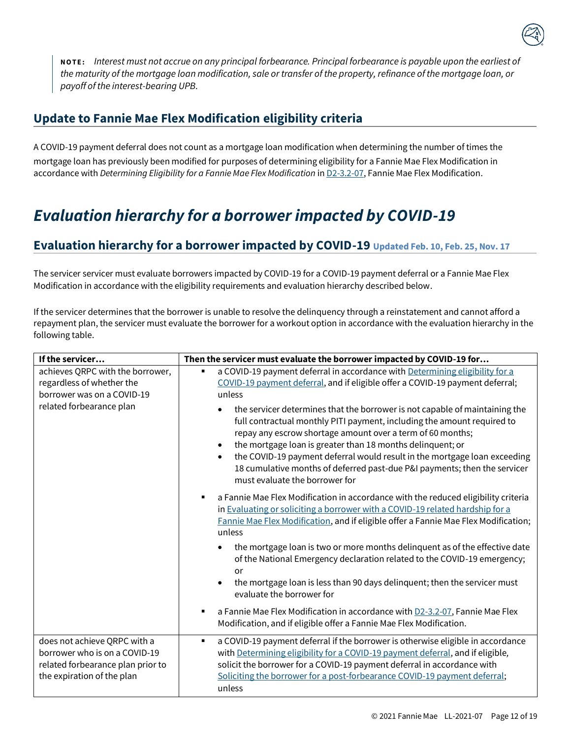

**N O T E :** *Interest must not accrue on any principal forbearance. Principal forbearance is payable upon the earliest of the maturity of the mortgage loan modification, sale or transfer of the property, refinance of the mortgage loan, or payoff of the interest-bearing UPB.*

### **Update to Fannie Mae Flex Modification eligibility criteria**

A COVID-19 payment deferral does not count as a mortgage loan modification when determining the number of times the mortgage loan has previously been modified for purposes of determining eligibility for a Fannie Mae Flex Modification in accordance with *Determining Eligibility for a Fannie Mae Flex Modification* in **D2-3.2-07**, Fannie Mae Flex Modification.

# <span id="page-12-0"></span>*Evaluation hierarchy for a borrower impacted by COVID-19*

# **Evaluation hierarchy for a borrower impacted by COVID-19 Updated Feb. 10, Feb. 25, Nov. 17**

The servicer servicer must evaluate borrowers impacted by COVID-19 for a COVID-19 payment deferral or a Fannie Mae Flex Modification in accordance with the eligibility requirements and evaluation hierarchy described below.

If the servicer determines that the borrower is unable to resolve the delinquency through a reinstatement and cannot afford a repayment plan, the servicer must evaluate the borrower for a workout option in accordance with the evaluation hierarchy in the following table.

| If the servicer                                                                                                                  | Then the servicer must evaluate the borrower impacted by COVID-19 for                                                                                                                                                                                                                                                                                                                                                     |
|----------------------------------------------------------------------------------------------------------------------------------|---------------------------------------------------------------------------------------------------------------------------------------------------------------------------------------------------------------------------------------------------------------------------------------------------------------------------------------------------------------------------------------------------------------------------|
| achieves QRPC with the borrower,<br>regardless of whether the<br>borrower was on a COVID-19<br>related forbearance plan          | a COVID-19 payment deferral in accordance with Determining eligibility for a<br>٠<br>COVID-19 payment deferral, and if eligible offer a COVID-19 payment deferral;<br>unless<br>the servicer determines that the borrower is not capable of maintaining the                                                                                                                                                               |
|                                                                                                                                  | full contractual monthly PITI payment, including the amount required to<br>repay any escrow shortage amount over a term of 60 months;<br>the mortgage loan is greater than 18 months delinquent; or<br>$\bullet$<br>the COVID-19 payment deferral would result in the mortgage loan exceeding<br>$\bullet$<br>18 cumulative months of deferred past-due P&I payments; then the servicer<br>must evaluate the borrower for |
|                                                                                                                                  | a Fannie Mae Flex Modification in accordance with the reduced eligibility criteria<br>in Evaluating or soliciting a borrower with a COVID-19 related hardship for a<br>Fannie Mae Flex Modification, and if eligible offer a Fannie Mae Flex Modification;<br>unless                                                                                                                                                      |
|                                                                                                                                  | the mortgage loan is two or more months delinquent as of the effective date<br>$\bullet$<br>of the National Emergency declaration related to the COVID-19 emergency;<br>or<br>the mortgage loan is less than 90 days delinquent; then the servicer must                                                                                                                                                                   |
|                                                                                                                                  | evaluate the borrower for                                                                                                                                                                                                                                                                                                                                                                                                 |
|                                                                                                                                  | a Fannie Mae Flex Modification in accordance with D2-3.2-07, Fannie Mae Flex<br>٠<br>Modification, and if eligible offer a Fannie Mae Flex Modification.                                                                                                                                                                                                                                                                  |
| does not achieve QRPC with a<br>borrower who is on a COVID-19<br>related forbearance plan prior to<br>the expiration of the plan | a COVID-19 payment deferral if the borrower is otherwise eligible in accordance<br>٠<br>with Determining eligibility for a COVID-19 payment deferral, and if eligible,<br>solicit the borrower for a COVID-19 payment deferral in accordance with<br>Soliciting the borrower for a post-forbearance COVID-19 payment deferral;<br>unless                                                                                  |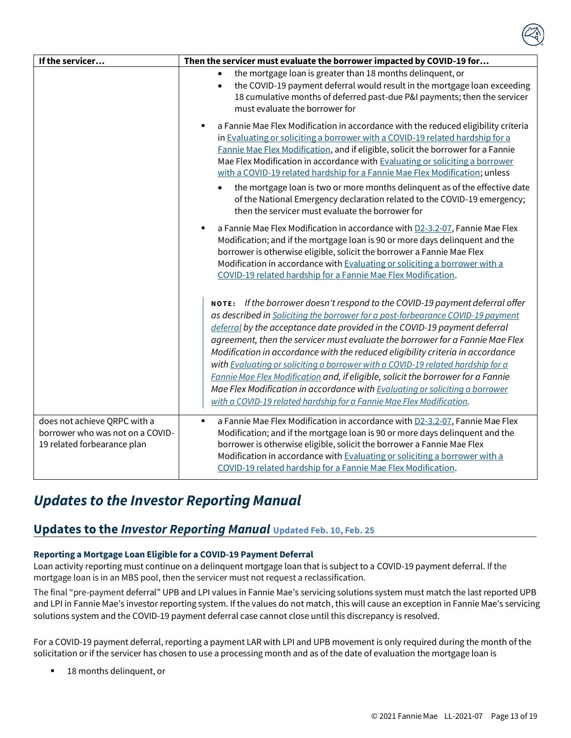| If the servicer                                                                                 | Then the servicer must evaluate the borrower impacted by COVID-19 for                                                                                                                                                                                                                                                                                                                                                                                                                                                                                                                                                                                                                                                                          |
|-------------------------------------------------------------------------------------------------|------------------------------------------------------------------------------------------------------------------------------------------------------------------------------------------------------------------------------------------------------------------------------------------------------------------------------------------------------------------------------------------------------------------------------------------------------------------------------------------------------------------------------------------------------------------------------------------------------------------------------------------------------------------------------------------------------------------------------------------------|
|                                                                                                 | the mortgage loan is greater than 18 months delinquent, or<br>the COVID-19 payment deferral would result in the mortgage loan exceeding<br>$\bullet$<br>18 cumulative months of deferred past-due P&I payments; then the servicer<br>must evaluate the borrower for                                                                                                                                                                                                                                                                                                                                                                                                                                                                            |
|                                                                                                 | a Fannie Mae Flex Modification in accordance with the reduced eligibility criteria<br>$\blacksquare$<br>in Evaluating or soliciting a borrower with a COVID-19 related hardship for a<br>Fannie Mae Flex Modification, and if eligible, solicit the borrower for a Fannie<br>Mae Flex Modification in accordance with Evaluating or soliciting a borrower<br>with a COVID-19 related hardship for a Fannie Mae Flex Modification; unless                                                                                                                                                                                                                                                                                                       |
|                                                                                                 | the mortgage loan is two or more months delinquent as of the effective date<br>of the National Emergency declaration related to the COVID-19 emergency;<br>then the servicer must evaluate the borrower for                                                                                                                                                                                                                                                                                                                                                                                                                                                                                                                                    |
|                                                                                                 | a Fannie Mae Flex Modification in accordance with D2-3.2-07, Fannie Mae Flex<br>$\blacksquare$<br>Modification; and if the mortgage loan is 90 or more days delinquent and the<br>borrower is otherwise eligible, solicit the borrower a Fannie Mae Flex<br>Modification in accordance with Evaluating or soliciting a borrower with a<br>COVID-19 related hardship for a Fannie Mae Flex Modification.                                                                                                                                                                                                                                                                                                                                        |
|                                                                                                 | NOTE: If the borrower doesn't respond to the COVID-19 payment deferral offer<br>as described in Soliciting the borrower for a post-forbearance COVID-19 payment<br>deferral by the acceptance date provided in the COVID-19 payment deferral<br>agreement, then the servicer must evaluate the borrower for a Fannie Mae Flex<br>Modification in accordance with the reduced eligibility criteria in accordance<br>with Evaluating or soliciting a borrower with a COVID-19 related hardship for a<br>Fannie Mae Flex Modification and, if eligible, solicit the borrower for a Fannie<br>Mae Flex Modification in accordance with Evaluating or soliciting a borrower<br>with a COVID-19 related hardship for a Fannie Mae Flex Modification. |
| does not achieve QRPC with a<br>borrower who was not on a COVID-<br>19 related forbearance plan | a Fannie Mae Flex Modification in accordance with D2-3.2-07, Fannie Mae Flex<br>$\blacksquare$<br>Modification; and if the mortgage loan is 90 or more days delinquent and the<br>borrower is otherwise eligible, solicit the borrower a Fannie Mae Flex<br>Modification in accordance with Evaluating or soliciting a borrower with a<br>COVID-19 related hardship for a Fannie Mae Flex Modification.                                                                                                                                                                                                                                                                                                                                        |

# <span id="page-13-0"></span>*Updates to the Investor Reporting Manual*

### **Updates to the** *Investor Reporting Manual* **Updated Feb. 10, Feb. 25**

#### **Reporting a Mortgage Loan Eligible for a COVID-19 Payment Deferral**

Loan activity reporting must continue on a delinquent mortgage loan that is subject to a COVID-19 payment deferral. If the mortgage loan is in an MBS pool, then the servicer must not request a reclassification.

The final "pre-payment deferral" UPB and LPI values in Fannie Mae's servicing solutions system must match the last reported UPB and LPI in Fannie Mae's investor reporting system. If the values do not match, this will cause an exception in Fannie Mae's servicing solutions system and the COVID-19 payment deferral case cannot close until this discrepancy is resolved.

For a COVID-19 payment deferral, reporting a payment LAR with LPI and UPB movement is only required during the month of the solicitation or if the servicer has chosen to use a processing month and as of the date of evaluation the mortgage loan is

18 months delinquent, or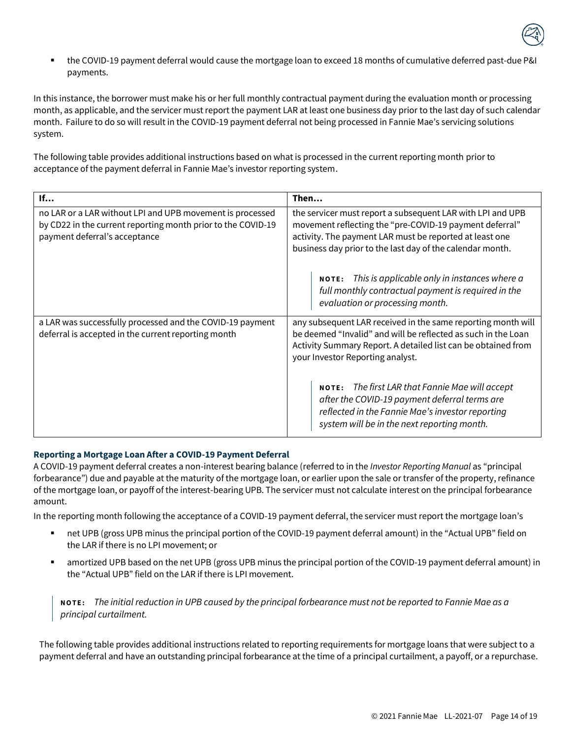

▪ the COVID-19 payment deferral would cause the mortgage loan to exceed 18 months of cumulative deferred past-due P&I payments.

In this instance, the borrower must make his or her full monthly contractual payment during the evaluation month or processing month, as applicable, and the servicer must report the payment LAR at least one business day prior to the last day of such calendar month. Failure to do so will result in the COVID-19 payment deferral not being processed in Fannie Mae's servicing solutions system.

The following table provides additional instructions based on what is processed in the current reporting month prior to acceptance of the payment deferral in Fannie Mae's investor reporting system.

| If                                                                                                                                                         | Then                                                                                                                                                                                                                                          |
|------------------------------------------------------------------------------------------------------------------------------------------------------------|-----------------------------------------------------------------------------------------------------------------------------------------------------------------------------------------------------------------------------------------------|
| no LAR or a LAR without LPI and UPB movement is processed<br>by CD22 in the current reporting month prior to the COVID-19<br>payment deferral's acceptance | the servicer must report a subsequent LAR with LPI and UPB<br>movement reflecting the "pre-COVID-19 payment deferral"<br>activity. The payment LAR must be reported at least one<br>business day prior to the last day of the calendar month. |
|                                                                                                                                                            | <b>NOTE:</b> This is applicable only in instances where $a$<br>full monthly contractual payment is required in the<br>evaluation or processing month.                                                                                         |
| a LAR was successfully processed and the COVID-19 payment<br>deferral is accepted in the current reporting month                                           | any subsequent LAR received in the same reporting month will<br>be deemed "Invalid" and will be reflected as such in the Loan<br>Activity Summary Report. A detailed list can be obtained from<br>your Investor Reporting analyst.            |
|                                                                                                                                                            | NOTE: The first LAR that Fannie Mae will accept<br>after the COVID-19 payment deferral terms are<br>reflected in the Fannie Mae's investor reporting<br>system will be in the next reporting month.                                           |

#### **Reporting a Mortgage Loan After a COVID-19 Payment Deferral**

A COVID-19 payment deferral creates a non-interest bearing balance (referred to in the *Investor Reporting Manual* as "principal forbearance") due and payable at the maturity of the mortgage loan, or earlier upon the sale or transfer of the property, refinance of the mortgage loan, or payoff of the interest-bearing UPB. The servicer must not calculate interest on the principal forbearance amount.

In the reporting month following the acceptance of a COVID-19 payment deferral, the servicer must report the mortgage loan's

- net UPB (gross UPB minus the principal portion of the COVID-19 payment deferral amount) in the "Actual UPB" field on the LAR if there is no LPI movement; or
- amortized UPB based on the net UPB (gross UPB minus the principal portion of the COVID-19 payment deferral amount) in the "Actual UPB" field on the LAR if there is LPI movement.

**N O T E :** *The initial reduction in UPB caused by the principal forbearance must not be reported to Fannie Mae as a principal curtailment.*

The following table provides additional instructions related to reporting requirements for mortgage loans that were subject to a payment deferral and have an outstanding principal forbearance at the time of a principal curtailment, a payoff, or a repurchase.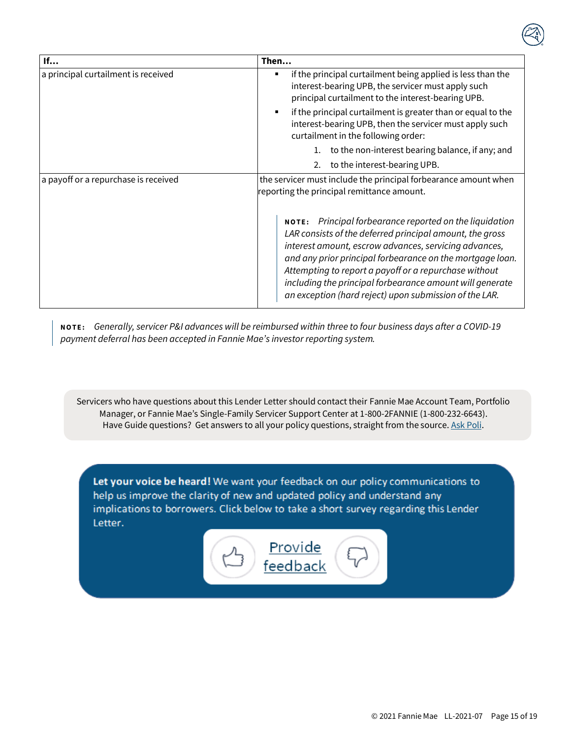| If                                   | Then                                                                                                                                                                                                                                                                                                                                                                                                                     |
|--------------------------------------|--------------------------------------------------------------------------------------------------------------------------------------------------------------------------------------------------------------------------------------------------------------------------------------------------------------------------------------------------------------------------------------------------------------------------|
| a principal curtailment is received  | if the principal curtailment being applied is less than the<br>п<br>interest-bearing UPB, the servicer must apply such<br>principal curtailment to the interest-bearing UPB.                                                                                                                                                                                                                                             |
|                                      | if the principal curtailment is greater than or equal to the<br>interest-bearing UPB, then the servicer must apply such<br>curtailment in the following order:                                                                                                                                                                                                                                                           |
|                                      | to the non-interest bearing balance, if any; and                                                                                                                                                                                                                                                                                                                                                                         |
|                                      | 2. to the interest-bearing UPB.                                                                                                                                                                                                                                                                                                                                                                                          |
| a payoff or a repurchase is received | the servicer must include the principal forbearance amount when<br>reporting the principal remittance amount.                                                                                                                                                                                                                                                                                                            |
|                                      | NOTE: Principal forbearance reported on the liquidation<br>LAR consists of the deferred principal amount, the gross<br>interest amount, escrow advances, servicing advances,<br>and any prior principal forbearance on the mortgage loan.<br>Attempting to report a payoff or a repurchase without<br>including the principal forbearance amount will generate<br>an exception (hard reject) upon submission of the LAR. |

**N O T E :** *Generally, servicer P&I advances will be reimbursed within three to four business days after a COVID-19 payment deferral has been accepted in Fannie Mae's investor reporting system.* 

<span id="page-15-0"></span>Servicers who have questions about this Lender Letter should contact their Fannie Mae Account Team, Portfolio Manager, or Fannie Mae's Single-Family Servicer Support Center at 1-800-2FANNIE (1-800-232-6643). Have Guide questions? Get answers to all your policy questions, straight from the source[. Ask Poli.](https://askpoli.fanniemae.com/?guideType=Servicing&_ga=2.39744419.183221993.1590588944-635827362.1590588944)

Let your voice be heard! We want your feedback on our policy communications to help us improve the clarity of new and updated policy and understand any implications to borrowers. Click below to take a short survey regarding this Lender Letter.

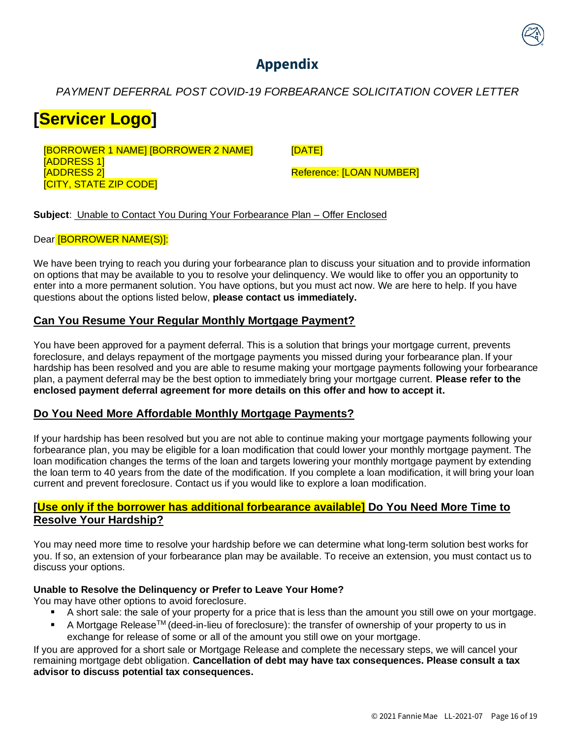# **Appendix**

### <span id="page-16-0"></span>*PAYMENT DEFERRAL POST COVID-19 FORBEARANCE SOLICITATION COVER LETTER*

# **[Servicer Logo]**

[BORROWER 1 NAME] [BORROWER 2 NAME] [ADDRESS 1] [ADDRESS 2] [CITY, STATE ZIP CODE]

[DATE]

Reference: [LOAN NUMBER]

**Subject**: Unable to Contact You During Your Forbearance Plan – Offer Enclosed

#### Dear [BORROWER NAME(S)]:

We have been trying to reach you during your forbearance plan to discuss your situation and to provide information on options that may be available to you to resolve your delinquency. We would like to offer you an opportunity to enter into a more permanent solution. You have options, but you must act now. We are here to help. If you have questions about the options listed below, **please contact us immediately.**

### **Can You Resume Your Regular Monthly Mortgage Payment?**

You have been approved for a payment deferral. This is a solution that brings your mortgage current, prevents foreclosure, and delays repayment of the mortgage payments you missed during your forbearance plan. If your hardship has been resolved and you are able to resume making your mortgage payments following your forbearance plan, a payment deferral may be the best option to immediately bring your mortgage current. **Please refer to the enclosed payment deferral agreement for more details on this offer and how to accept it.**

#### **Do You Need More Affordable Monthly Mortgage Payments?**

If your hardship has been resolved but you are not able to continue making your mortgage payments following your forbearance plan, you may be eligible for a loan modification that could lower your monthly mortgage payment. The loan modification changes the terms of the loan and targets lowering your monthly mortgage payment by extending the loan term to 40 years from the date of the modification. If you complete a loan modification, it will bring your loan current and prevent foreclosure. Contact us if you would like to explore a loan modification.

### **[Use only if the borrower has additional forbearance available] Do You Need More Time to Resolve Your Hardship?**

You may need more time to resolve your hardship before we can determine what long-term solution best works for you. If so, an extension of your forbearance plan may be available. To receive an extension, you must contact us to discuss your options.

#### **Unable to Resolve the Delinquency or Prefer to Leave Your Home?**

You may have other options to avoid foreclosure.

- A short sale: the sale of your property for a price that is less than the amount you still owe on your mortgage.
- A Mortgage Release™ (deed-in-lieu of foreclosure): the transfer of ownership of your property to us in exchange for release of some or all of the amount you still owe on your mortgage.

If you are approved for a short sale or Mortgage Release and complete the necessary steps, we will cancel your remaining mortgage debt obligation. **Cancellation of debt may have tax consequences. Please consult a tax advisor to discuss potential tax consequences.**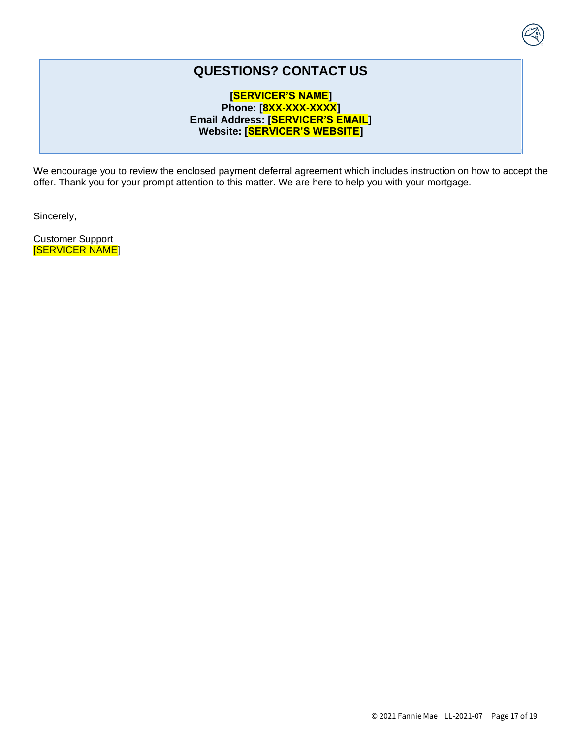# **QUESTIONS? CONTACT US**

#### **[SERVICER'S NAME] Phone: [8XX-XXX-XXXX] Email Address: [SERVICER'S EMAIL] Website: [SERVICER'S WEBSITE]**

We encourage you to review the enclosed payment deferral agreement which includes instruction on how to accept the offer. Thank you for your prompt attention to this matter. We are here to help you with your mortgage.

Sincerely,

Customer Support [SERVICER NAME]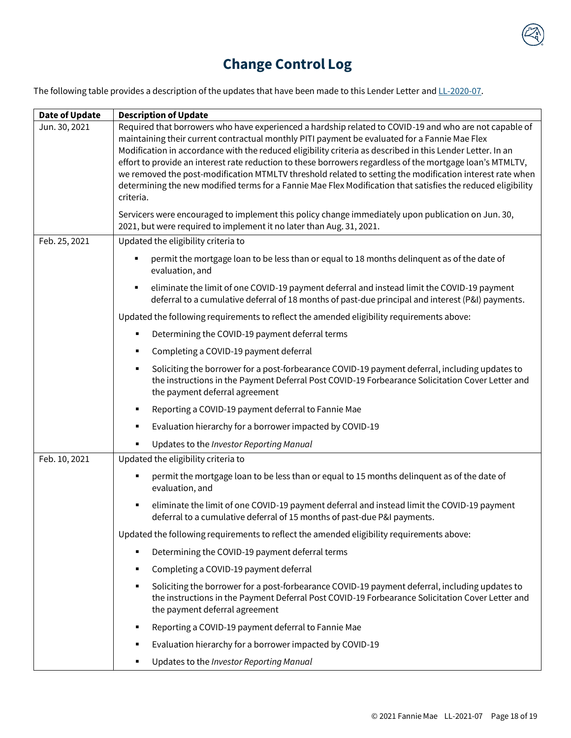

<span id="page-18-0"></span>The following table provides a description of the updates that have been made to this Lender Letter an[d LL-2020-07.](https://singlefamily.fanniemae.com/media/document/pdf/lender-letter-ll-2020-07-covid-19-payment-deferral)

| Date of Update | <b>Description of Update</b>                                                                                                                                                                                                                                                                                                                                                                                                                                                                                                                                                                                                                                                |
|----------------|-----------------------------------------------------------------------------------------------------------------------------------------------------------------------------------------------------------------------------------------------------------------------------------------------------------------------------------------------------------------------------------------------------------------------------------------------------------------------------------------------------------------------------------------------------------------------------------------------------------------------------------------------------------------------------|
| Jun. 30, 2021  | Required that borrowers who have experienced a hardship related to COVID-19 and who are not capable of<br>maintaining their current contractual monthly PITI payment be evaluated for a Fannie Mae Flex<br>Modification in accordance with the reduced eligibility criteria as described in this Lender Letter. In an<br>effort to provide an interest rate reduction to these borrowers regardless of the mortgage loan's MTMLTV,<br>we removed the post-modification MTMLTV threshold related to setting the modification interest rate when<br>determining the new modified terms for a Fannie Mae Flex Modification that satisfies the reduced eligibility<br>criteria. |
|                | Servicers were encouraged to implement this policy change immediately upon publication on Jun. 30,<br>2021, but were required to implement it no later than Aug. 31, 2021.                                                                                                                                                                                                                                                                                                                                                                                                                                                                                                  |
| Feb. 25, 2021  | Updated the eligibility criteria to                                                                                                                                                                                                                                                                                                                                                                                                                                                                                                                                                                                                                                         |
|                | permit the mortgage loan to be less than or equal to 18 months delinquent as of the date of<br>evaluation, and                                                                                                                                                                                                                                                                                                                                                                                                                                                                                                                                                              |
|                | eliminate the limit of one COVID-19 payment deferral and instead limit the COVID-19 payment<br>٠<br>deferral to a cumulative deferral of 18 months of past-due principal and interest (P&I) payments.                                                                                                                                                                                                                                                                                                                                                                                                                                                                       |
|                | Updated the following requirements to reflect the amended eligibility requirements above:                                                                                                                                                                                                                                                                                                                                                                                                                                                                                                                                                                                   |
|                | Determining the COVID-19 payment deferral terms<br>п                                                                                                                                                                                                                                                                                                                                                                                                                                                                                                                                                                                                                        |
|                | Completing a COVID-19 payment deferral<br>٠                                                                                                                                                                                                                                                                                                                                                                                                                                                                                                                                                                                                                                 |
|                | Soliciting the borrower for a post-forbearance COVID-19 payment deferral, including updates to<br>٠<br>the instructions in the Payment Deferral Post COVID-19 Forbearance Solicitation Cover Letter and<br>the payment deferral agreement                                                                                                                                                                                                                                                                                                                                                                                                                                   |
|                | Reporting a COVID-19 payment deferral to Fannie Mae<br>п                                                                                                                                                                                                                                                                                                                                                                                                                                                                                                                                                                                                                    |
|                | Evaluation hierarchy for a borrower impacted by COVID-19<br>п                                                                                                                                                                                                                                                                                                                                                                                                                                                                                                                                                                                                               |
|                | Updates to the Investor Reporting Manual<br>٠                                                                                                                                                                                                                                                                                                                                                                                                                                                                                                                                                                                                                               |
| Feb. 10, 2021  | Updated the eligibility criteria to                                                                                                                                                                                                                                                                                                                                                                                                                                                                                                                                                                                                                                         |
|                | permit the mortgage loan to be less than or equal to 15 months delinquent as of the date of<br>evaluation, and                                                                                                                                                                                                                                                                                                                                                                                                                                                                                                                                                              |
|                | eliminate the limit of one COVID-19 payment deferral and instead limit the COVID-19 payment<br>٠<br>deferral to a cumulative deferral of 15 months of past-due P&I payments.                                                                                                                                                                                                                                                                                                                                                                                                                                                                                                |
|                | Updated the following requirements to reflect the amended eligibility requirements above:                                                                                                                                                                                                                                                                                                                                                                                                                                                                                                                                                                                   |
|                | Determining the COVID-19 payment deferral terms<br>٠                                                                                                                                                                                                                                                                                                                                                                                                                                                                                                                                                                                                                        |
|                | Completing a COVID-19 payment deferral<br>٠                                                                                                                                                                                                                                                                                                                                                                                                                                                                                                                                                                                                                                 |
|                | Soliciting the borrower for a post-forbearance COVID-19 payment deferral, including updates to<br>$\blacksquare$<br>the instructions in the Payment Deferral Post COVID-19 Forbearance Solicitation Cover Letter and<br>the payment deferral agreement                                                                                                                                                                                                                                                                                                                                                                                                                      |
|                | Reporting a COVID-19 payment deferral to Fannie Mae<br>п                                                                                                                                                                                                                                                                                                                                                                                                                                                                                                                                                                                                                    |
|                | Evaluation hierarchy for a borrower impacted by COVID-19<br>٠                                                                                                                                                                                                                                                                                                                                                                                                                                                                                                                                                                                                               |
|                | Updates to the Investor Reporting Manual<br>٠                                                                                                                                                                                                                                                                                                                                                                                                                                                                                                                                                                                                                               |